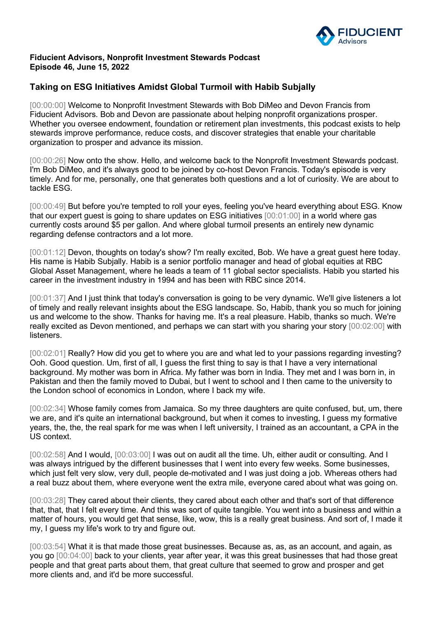

## **Fiducient Advisors, Nonprofit Investment Stewards Podcast Episode 46, June 15, 2022**

## **Taking on ESG Initiatives Amidst Global Turmoil with Habib Subjally**

[00:00:00] Welcome to Nonprofit Investment Stewards with Bob DiMeo and Devon Francis from Fiducient Advisors. Bob and Devon are passionate about helping nonprofit organizations prosper. Whether you oversee endowment, foundation or retirement plan investments, this podcast exists to help stewards improve performance, reduce costs, and discover strategies that enable your charitable organization to prosper and advance its mission.

[00:00:26] Now onto the show. Hello, and welcome back to the Nonprofit Investment Stewards podcast. I'm Bob DiMeo, and it's always good to be joined by co-host Devon Francis. Today's episode is very timely. And for me, personally, one that generates both questions and a lot of curiosity. We are about to tackle ESG.

[00:00:49] But before you're tempted to roll your eyes, feeling you've heard everything about ESG. Know that our expert guest is going to share updates on ESG initiatives [00:01:00] in a world where gas currently costs around \$5 per gallon. And where global turmoil presents an entirely new dynamic regarding defense contractors and a lot more.

[00:01:12] Devon, thoughts on today's show? I'm really excited, Bob. We have a great guest here today. His name is Habib Subjally. Habib is a senior portfolio manager and head of global equities at RBC Global Asset Management, where he leads a team of 11 global sector specialists. Habib you started his career in the investment industry in 1994 and has been with RBC since 2014.

[00:01:37] And I just think that today's conversation is going to be very dynamic. We'll give listeners a lot of timely and really relevant insights about the ESG landscape. So, Habib, thank you so much for joining us and welcome to the show. Thanks for having me. It's a real pleasure. Habib, thanks so much. We're really excited as Devon mentioned, and perhaps we can start with you sharing your story [00:02:00] with listeners.

[00:02:01] Really? How did you get to where you are and what led to your passions regarding investing? Ooh. Good question. Um, first of all, I guess the first thing to say is that I have a very international background. My mother was born in Africa. My father was born in India. They met and I was born in, in Pakistan and then the family moved to Dubai, but I went to school and I then came to the university to the London school of economics in London, where I back my wife.

[00:02:34] Whose family comes from Jamaica. So my three daughters are quite confused, but, um, there we are, and it's quite an international background, but when it comes to investing, I guess my formative years, the, the, the real spark for me was when I left university, I trained as an accountant, a CPA in the US context.

[00:02:58] And I would, [00:03:00] I was out on audit all the time. Uh, either audit or consulting. And I was always intrigued by the different businesses that I went into every few weeks. Some businesses, which just felt very slow, very dull, people de-motivated and I was just doing a job. Whereas others had a real buzz about them, where everyone went the extra mile, everyone cared about what was going on.

[00:03:28] They cared about their clients, they cared about each other and that's sort of that difference that, that, that I felt every time. And this was sort of quite tangible. You went into a business and within a matter of hours, you would get that sense, like, wow, this is a really great business. And sort of, I made it my, I guess my life's work to try and figure out.

[00:03:54] What it is that made those great businesses. Because as, as, as an account, and again, as you go [00:04:00] back to your clients, year after year, it was this great businesses that had those great people and that great parts about them, that great culture that seemed to grow and prosper and get more clients and, and it'd be more successful.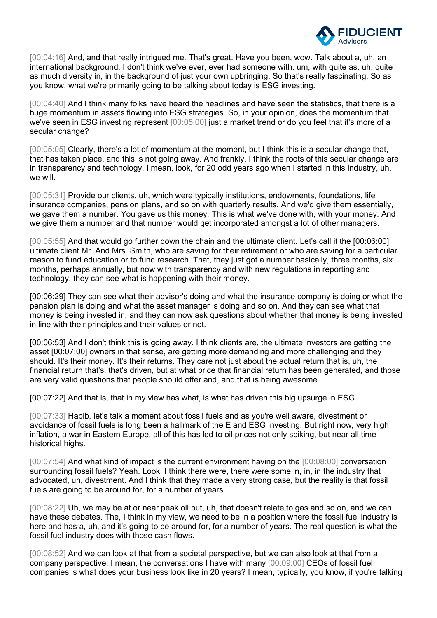

[00:04:16] And, and that really intrigued me. That's great. Have you been, wow. Talk about a, uh, an international background. I don't think we've ever, ever had someone with, um, with quite as, uh, quite as much diversity in, in the background of just your own upbringing. So that's really fascinating. So as you know, what we're primarily going to be talking about today is ESG investing.

[00:04:40] And I think many folks have heard the headlines and have seen the statistics, that there is a huge momentum in assets flowing into ESG strategies. So, in your opinion, does the momentum that we've seen in ESG investing represent [00:05:00] just a market trend or do you feel that it's more of a secular change?

[00:05:05] Clearly, there's a lot of momentum at the moment, but I think this is a secular change that, that has taken place, and this is not going away. And frankly, I think the roots of this secular change are in transparency and technology. I mean, look, for 20 odd years ago when I started in this industry, uh, we will.

[00:05:31] Provide our clients, uh, which were typically institutions, endowments, foundations, life insurance companies, pension plans, and so on with quarterly results. And we'd give them essentially, we gave them a number. You gave us this money. This is what we've done with, with your money. And we give them a number and that number would get incorporated amongst a lot of other managers.

[00:05:55] And that would go further down the chain and the ultimate client. Let's call it the [00:06:00] ultimate client Mr. And Mrs. Smith, who are saving for their retirement or who are saving for a particular reason to fund education or to fund research. That, they just got a number basically, three months, six months, perhaps annually, but now with transparency and with new regulations in reporting and technology, they can see what is happening with their money.

[00:06:29] They can see what their advisor's doing and what the insurance company is doing or what the pension plan is doing and what the asset manager is doing and so on. And they can see what that money is being invested in, and they can now ask questions about whether that money is being invested in line with their principles and their values or not.

[00:06:53] And I don't think this is going away. I think clients are, the ultimate investors are getting the asset [00:07:00] owners in that sense, are getting more demanding and more challenging and they should. It's their money. It's their returns. They care not just about the actual return that is, uh, the financial return that's, that's driven, but at what price that financial return has been generated, and those are very valid questions that people should offer and, and that is being awesome.

[00:07:22] And that is, that in my view has what, is what has driven this big upsurge in ESG.

[00:07:33] Habib, let's talk a moment about fossil fuels and as you're well aware, divestment or avoidance of fossil fuels is long been a hallmark of the E and ESG investing. But right now, very high inflation, a war in Eastern Europe, all of this has led to oil prices not only spiking, but near all time historical highs.

[00:07:54] And what kind of impact is the current environment having on the [00:08:00] conversation surrounding fossil fuels? Yeah. Look, I think there were, there were some in, in, in the industry that advocated, uh, divestment. And I think that they made a very strong case, but the reality is that fossil fuels are going to be around for, for a number of years.

[00:08:22] Uh, we may be at or near peak oil but, uh, that doesn't relate to gas and so on, and we can have these debates. The, I think in my view, we need to be in a position where the fossil fuel industry is here and has a, uh, and it's going to be around for, for a number of years. The real question is what the fossil fuel industry does with those cash flows.

[00:08:52] And we can look at that from a societal perspective, but we can also look at that from a company perspective. I mean, the conversations I have with many [00:09:00] CEOs of fossil fuel companies is what does your business look like in 20 years? I mean, typically, you know, if you're talking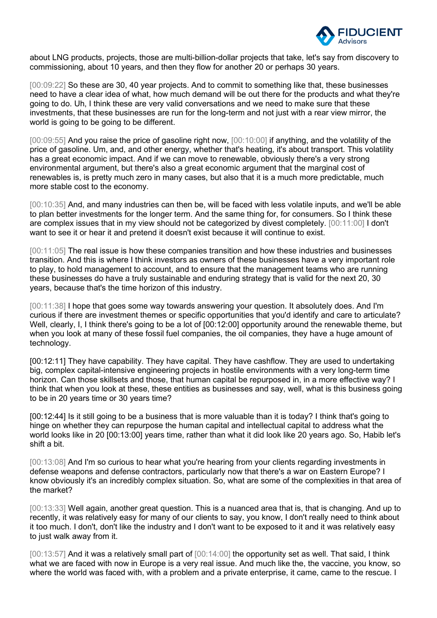

about LNG products, projects, those are multi-billion-dollar projects that take, let's say from discovery to commissioning, about 10 years, and then they flow for another 20 or perhaps 30 years.

[00:09:22] So these are 30, 40 year projects. And to commit to something like that, these businesses need to have a clear idea of what, how much demand will be out there for the products and what they're going to do. Uh, I think these are very valid conversations and we need to make sure that these investments, that these businesses are run for the long-term and not just with a rear view mirror, the world is going to be going to be different.

[00:09:55] And you raise the price of gasoline right now, [00:10:00] if anything, and the volatility of the price of gasoline. Um, and, and other energy, whether that's heating, it's about transport. This volatility has a great economic impact. And if we can move to renewable, obviously there's a very strong environmental argument, but there's also a great economic argument that the marginal cost of renewables is, is pretty much zero in many cases, but also that it is a much more predictable, much more stable cost to the economy.

[00:10:35] And, and many industries can then be, will be faced with less volatile inputs, and we'll be able to plan better investments for the longer term. And the same thing for, for consumers. So I think these are complex issues that in my view should not be categorized by divest completely. [00:11:00] I don't want to see it or hear it and pretend it doesn't exist because it will continue to exist.

[00:11:05] The real issue is how these companies transition and how these industries and businesses transition. And this is where I think investors as owners of these businesses have a very important role to play, to hold management to account, and to ensure that the management teams who are running these businesses do have a truly sustainable and enduring strategy that is valid for the next 20, 30 years, because that's the time horizon of this industry.

[00:11:38] I hope that goes some way towards answering your question. It absolutely does. And I'm curious if there are investment themes or specific opportunities that you'd identify and care to articulate? Well, clearly, I, I think there's going to be a lot of [00:12:00] opportunity around the renewable theme, but when you look at many of these fossil fuel companies, the oil companies, they have a huge amount of technology.

[00:12:11] They have capability. They have capital. They have cashflow. They are used to undertaking big, complex capital-intensive engineering projects in hostile environments with a very long-term time horizon. Can those skillsets and those, that human capital be repurposed in, in a more effective way? I think that when you look at these, these entities as businesses and say, well, what is this business going to be in 20 years time or 30 years time?

[00:12:44] Is it still going to be a business that is more valuable than it is today? I think that's going to hinge on whether they can repurpose the human capital and intellectual capital to address what the world looks like in 20 [00:13:00] years time, rather than what it did look like 20 years ago. So, Habib let's shift a bit.

[00:13:08] And I'm so curious to hear what you're hearing from your clients regarding investments in defense weapons and defense contractors, particularly now that there's a war on Eastern Europe? I know obviously it's an incredibly complex situation. So, what are some of the complexities in that area of the market?

[00:13:33] Well again, another great question. This is a nuanced area that is, that is changing. And up to recently, it was relatively easy for many of our clients to say, you know, I don't really need to think about it too much. I don't, don't like the industry and I don't want to be exposed to it and it was relatively easy to just walk away from it.

[00:13:57] And it was a relatively small part of [00:14:00] the opportunity set as well. That said, I think what we are faced with now in Europe is a very real issue. And much like the, the vaccine, you know, so where the world was faced with, with a problem and a private enterprise, it came, came to the rescue. I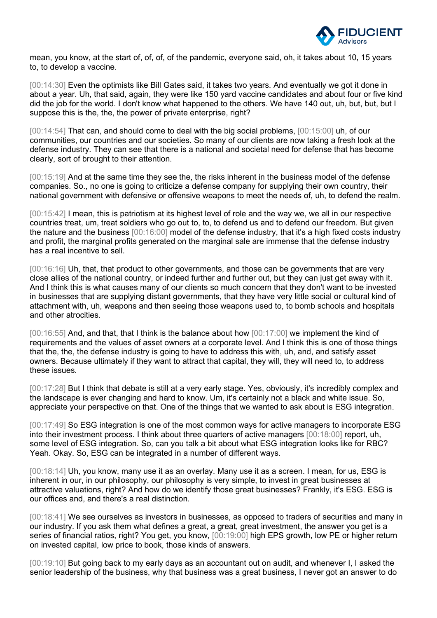

mean, you know, at the start of, of, of, of the pandemic, everyone said, oh, it takes about 10, 15 years to, to develop a vaccine.

[00:14:30] Even the optimists like Bill Gates said, it takes two years. And eventually we got it done in about a year. Uh, that said, again, they were like 150 yard vaccine candidates and about four or five kind did the job for the world. I don't know what happened to the others. We have 140 out, uh, but, but, but I suppose this is the, the, the power of private enterprise, right?

[00:14:54] That can, and should come to deal with the big social problems, [00:15:00] uh, of our communities, our countries and our societies. So many of our clients are now taking a fresh look at the defense industry. They can see that there is a national and societal need for defense that has become clearly, sort of brought to their attention.

[00:15:19] And at the same time they see the, the risks inherent in the business model of the defense companies. So., no one is going to criticize a defense company for supplying their own country, their national government with defensive or offensive weapons to meet the needs of, uh, to defend the realm.

[00:15:42] I mean, this is patriotism at its highest level of role and the way we, we all in our respective countries treat, um, treat soldiers who go out to, to, to defend us and to defend our freedom. But given the nature and the business [00:16:00] model of the defense industry, that it's a high fixed costs industry and profit, the marginal profits generated on the marginal sale are immense that the defense industry has a real incentive to sell.

[00:16:16] Uh, that, that product to other governments, and those can be governments that are very close allies of the national country, or indeed further and further out, but they can just get away with it. And I think this is what causes many of our clients so much concern that they don't want to be invested in businesses that are supplying distant governments, that they have very little social or cultural kind of attachment with, uh, weapons and then seeing those weapons used to, to bomb schools and hospitals and other atrocities.

[00:16:55] And, and that, that I think is the balance about how [00:17:00] we implement the kind of requirements and the values of asset owners at a corporate level. And I think this is one of those things that the, the, the defense industry is going to have to address this with, uh, and, and satisfy asset owners. Because ultimately if they want to attract that capital, they will, they will need to, to address these issues.

[00:17:28] But I think that debate is still at a very early stage. Yes, obviously, it's incredibly complex and the landscape is ever changing and hard to know. Um, it's certainly not a black and white issue. So, appreciate your perspective on that. One of the things that we wanted to ask about is ESG integration.

[00:17:49] So ESG integration is one of the most common ways for active managers to incorporate ESG into their investment process. I think about three quarters of active managers [00:18:00] report, uh, some level of ESG integration. So, can you talk a bit about what ESG integration looks like for RBC? Yeah. Okay. So, ESG can be integrated in a number of different ways.

[00:18:14] Uh, you know, many use it as an overlay. Many use it as a screen. I mean, for us, ESG is inherent in our, in our philosophy, our philosophy is very simple, to invest in great businesses at attractive valuations, right? And how do we identify those great businesses? Frankly, it's ESG. ESG is our offices and, and there's a real distinction.

[00:18:41] We see ourselves as investors in businesses, as opposed to traders of securities and many in our industry. If you ask them what defines a great, a great, great investment, the answer you get is a series of financial ratios, right? You get, you know,  $[00:19:00]$  high EPS growth, low PE or higher return on invested capital, low price to book, those kinds of answers.

[00:19:10] But going back to my early days as an accountant out on audit, and whenever I, I asked the senior leadership of the business, why that business was a great business, I never got an answer to do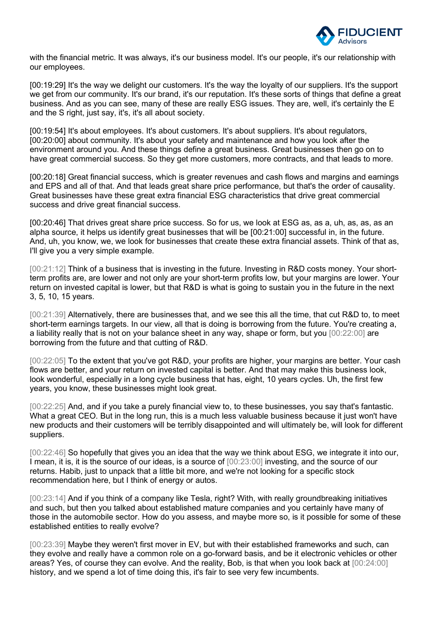

with the financial metric. It was always, it's our business model. It's our people, it's our relationship with our employees.

[00:19:29] It's the way we delight our customers. It's the way the loyalty of our suppliers. It's the support we get from our community. It's our brand, it's our reputation. It's these sorts of things that define a great business. And as you can see, many of these are really ESG issues. They are, well, it's certainly the E and the S right, just say, it's, it's all about society.

[00:19:54] It's about employees. It's about customers. It's about suppliers. It's about regulators, [00:20:00] about community. It's about your safety and maintenance and how you look after the environment around you. And these things define a great business. Great businesses then go on to have great commercial success. So they get more customers, more contracts, and that leads to more.

[00:20:18] Great financial success, which is greater revenues and cash flows and margins and earnings and EPS and all of that. And that leads great share price performance, but that's the order of causality. Great businesses have these great extra financial ESG characteristics that drive great commercial success and drive great financial success.

[00:20:46] That drives great share price success. So for us, we look at ESG as, as a, uh, as, as, as an alpha source, it helps us identify great businesses that will be [00:21:00] successful in, in the future. And, uh, you know, we, we look for businesses that create these extra financial assets. Think of that as, I'll give you a very simple example.

[00:21:12] Think of a business that is investing in the future. Investing in R&D costs money. Your shortterm profits are, are lower and not only are your short-term profits low, but your margins are lower. Your return on invested capital is lower, but that R&D is what is going to sustain you in the future in the next 3, 5, 10, 15 years.

[00:21:39] Alternatively, there are businesses that, and we see this all the time, that cut R&D to, to meet short-term earnings targets. In our view, all that is doing is borrowing from the future. You're creating a, a liability really that is not on your balance sheet in any way, shape or form, but you [00:22:00] are borrowing from the future and that cutting of R&D.

[00:22:05] To the extent that you've got R&D, your profits are higher, your margins are better. Your cash flows are better, and your return on invested capital is better. And that may make this business look, look wonderful, especially in a long cycle business that has, eight, 10 years cycles. Uh, the first few years, you know, these businesses might look great.

[00:22:25] And, and if you take a purely financial view to, to these businesses, you say that's fantastic. What a great CEO. But in the long run, this is a much less valuable business because it just won't have new products and their customers will be terribly disappointed and will ultimately be, will look for different suppliers.

[00:22:46] So hopefully that gives you an idea that the way we think about ESG, we integrate it into our, I mean, it is, it is the source of our ideas, is a source of [00:23:00] investing, and the source of our returns. Habib, just to unpack that a little bit more, and we're not looking for a specific stock recommendation here, but I think of energy or autos.

[00:23:14] And if you think of a company like Tesla, right? With, with really groundbreaking initiatives and such, but then you talked about established mature companies and you certainly have many of those in the automobile sector. How do you assess, and maybe more so, is it possible for some of these established entities to really evolve?

[00:23:39] Maybe they weren't first mover in EV, but with their established frameworks and such, can they evolve and really have a common role on a go-forward basis, and be it electronic vehicles or other areas? Yes, of course they can evolve. And the reality, Bob, is that when you look back at [00:24:00] history, and we spend a lot of time doing this, it's fair to see very few incumbents.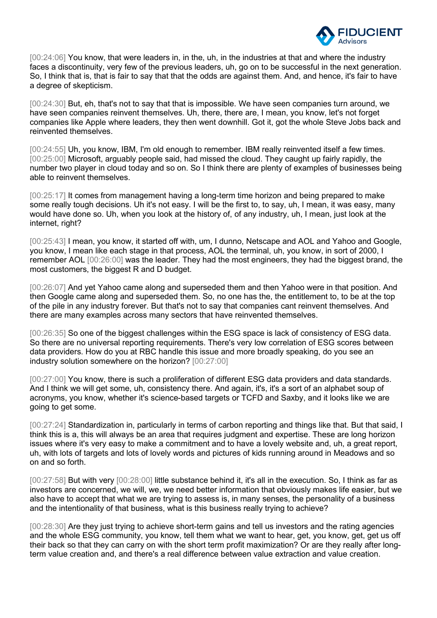

[00:24:06] You know, that were leaders in, in the, uh, in the industries at that and where the industry faces a discontinuity, very few of the previous leaders, uh, go on to be successful in the next generation. So, I think that is, that is fair to say that that the odds are against them. And, and hence, it's fair to have a degree of skepticism.

[00:24:30] But, eh, that's not to say that that is impossible. We have seen companies turn around, we have seen companies reinvent themselves. Uh, there, there are, I mean, you know, let's not forget companies like Apple where leaders, they then went downhill. Got it, got the whole Steve Jobs back and reinvented themselves.

[00:24:55] Uh, you know, IBM, I'm old enough to remember. IBM really reinvented itself a few times. [00:25:00] Microsoft, arguably people said, had missed the cloud. They caught up fairly rapidly, the number two player in cloud today and so on. So I think there are plenty of examples of businesses being able to reinvent themselves.

[00:25:17] It comes from management having a long-term time horizon and being prepared to make some really tough decisions. Uh it's not easy. I will be the first to, to say, uh, I mean, it was easy, many would have done so. Uh, when you look at the history of, of any industry, uh, I mean, just look at the internet, right?

[00:25:43] I mean, you know, it started off with, um, I dunno, Netscape and AOL and Yahoo and Google, you know, I mean like each stage in that process, AOL the terminal, uh, you know, in sort of 2000, I remember AOL [00:26:00] was the leader. They had the most engineers, they had the biggest brand, the most customers, the biggest R and D budget.

[00:26:07] And yet Yahoo came along and superseded them and then Yahoo were in that position. And then Google came along and superseded them. So, no one has the, the entitlement to, to be at the top of the pile in any industry forever. But that's not to say that companies cant reinvent themselves. And there are many examples across many sectors that have reinvented themselves.

[00:26:35] So one of the biggest challenges within the ESG space is lack of consistency of ESG data. So there are no universal reporting requirements. There's very low correlation of ESG scores between data providers. How do you at RBC handle this issue and more broadly speaking, do you see an industry solution somewhere on the horizon? [00:27:00]

[00:27:00] You know, there is such a proliferation of different ESG data providers and data standards. And I think we will get some, uh, consistency there. And again, it's, it's a sort of an alphabet soup of acronyms, you know, whether it's science-based targets or TCFD and Saxby, and it looks like we are going to get some.

[00:27:24] Standardization in, particularly in terms of carbon reporting and things like that. But that said, I think this is a, this will always be an area that requires judgment and expertise. These are long horizon issues where it's very easy to make a commitment and to have a lovely website and, uh, a great report, uh, with lots of targets and lots of lovely words and pictures of kids running around in Meadows and so on and so forth.

[00:27:58] But with very [00:28:00] little substance behind it, it's all in the execution. So, I think as far as investors are concerned, we will, we, we need better information that obviously makes life easier, but we also have to accept that what we are trying to assess is, in many senses, the personality of a business and the intentionality of that business, what is this business really trying to achieve?

[00:28:30] Are they just trying to achieve short-term gains and tell us investors and the rating agencies and the whole ESG community, you know, tell them what we want to hear, get, you know, get, get us off their back so that they can carry on with the short term profit maximization? Or are they really after longterm value creation and, and there's a real difference between value extraction and value creation.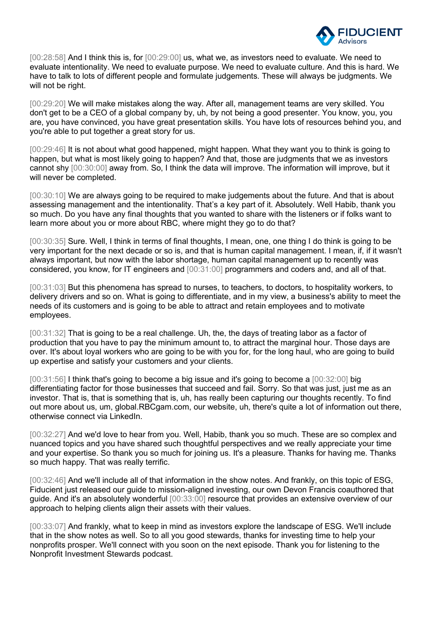

[00:28:58] And I think this is, for [00:29:00] us, what we, as investors need to evaluate. We need to evaluate intentionality. We need to evaluate purpose. We need to evaluate culture. And this is hard. We have to talk to lots of different people and formulate judgements. These will always be judgments. We will not be right.

[00:29:20] We will make mistakes along the way. After all, management teams are very skilled. You don't get to be a CEO of a global company by, uh, by not being a good presenter. You know, you, you are, you have convinced, you have great presentation skills. You have lots of resources behind you, and you're able to put together a great story for us.

[00:29:46] It is not about what good happened, might happen. What they want you to think is going to happen, but what is most likely going to happen? And that, those are judgments that we as investors cannot shy [00:30:00] away from. So, I think the data will improve. The information will improve, but it will never be completed.

[00:30:10] We are always going to be required to make judgements about the future. And that is about assessing management and the intentionality. That's a key part of it. Absolutely. Well Habib, thank you so much. Do you have any final thoughts that you wanted to share with the listeners or if folks want to learn more about you or more about RBC, where might they go to do that?

[00:30:35] Sure. Well, I think in terms of final thoughts, I mean, one, one thing I do think is going to be very important for the next decade or so is, and that is human capital management. I mean, if, if it wasn't always important, but now with the labor shortage, human capital management up to recently was considered, you know, for IT engineers and [00:31:00] programmers and coders and, and all of that.

[00:31:03] But this phenomena has spread to nurses, to teachers, to doctors, to hospitality workers, to delivery drivers and so on. What is going to differentiate, and in my view, a business's ability to meet the needs of its customers and is going to be able to attract and retain employees and to motivate employees.

[00:31:32] That is going to be a real challenge. Uh, the, the days of treating labor as a factor of production that you have to pay the minimum amount to, to attract the marginal hour. Those days are over. It's about loyal workers who are going to be with you for, for the long haul, who are going to build up expertise and satisfy your customers and your clients.

[00:31:56] I think that's going to become a big issue and it's going to become a [00:32:00] big differentiating factor for those businesses that succeed and fail. Sorry. So that was just, just me as an investor. That is, that is something that is, uh, has really been capturing our thoughts recently. To find out more about us, um, global.RBCgam.com, our website, uh, there's quite a lot of information out there, otherwise connect via LinkedIn.

[00:32:27] And we'd love to hear from you. Well, Habib, thank you so much. These are so complex and nuanced topics and you have shared such thoughtful perspectives and we really appreciate your time and your expertise. So thank you so much for joining us. It's a pleasure. Thanks for having me. Thanks so much happy. That was really terrific.

[00:32:46] And we'll include all of that information in the show notes. And frankly, on this topic of ESG, Fiducient just released our guide to mission-aligned investing, our own Devon Francis coauthored that guide. And it's an absolutely wonderful [00:33:00] resource that provides an extensive overview of our approach to helping clients align their assets with their values.

[00:33:07] And frankly, what to keep in mind as investors explore the landscape of ESG. We'll include that in the show notes as well. So to all you good stewards, thanks for investing time to help your nonprofits prosper. We'll connect with you soon on the next episode. Thank you for listening to the Nonprofit Investment Stewards podcast.